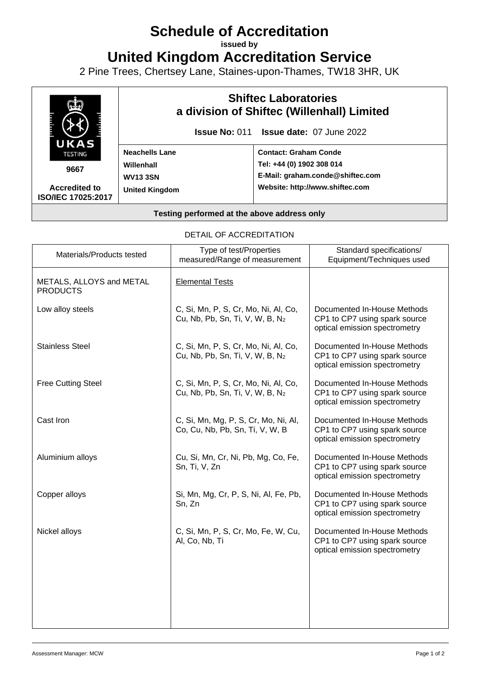## **Schedule of Accreditation**

**issued by**

**United Kingdom Accreditation Service**

2 Pine Trees, Chertsey Lane, Staines-upon-Thames, TW18 3HR, UK



DETAIL OF ACCREDITATION

| Materials/Products tested                   | Type of test/Properties<br>measured/Range of measurement                            | Standard specifications/<br>Equipment/Techniques used                                         |
|---------------------------------------------|-------------------------------------------------------------------------------------|-----------------------------------------------------------------------------------------------|
| METALS, ALLOYS and METAL<br><b>PRODUCTS</b> | <b>Elemental Tests</b>                                                              |                                                                                               |
| Low alloy steels                            | C, Si, Mn, P, S, Cr, Mo, Ni, Al, Co,<br>Cu, Nb, Pb, Sn, Ti, V, W, B, N2             | Documented In-House Methods<br>CP1 to CP7 using spark source<br>optical emission spectrometry |
| <b>Stainless Steel</b>                      | C, Si, Mn, P, S, Cr, Mo, Ni, Al, Co,<br>Cu, Nb, Pb, Sn, Ti, V, W, B, N2             | Documented In-House Methods<br>CP1 to CP7 using spark source<br>optical emission spectrometry |
| <b>Free Cutting Steel</b>                   | C, Si, Mn, P, S, Cr, Mo, Ni, Al, Co,<br>Cu, Nb, Pb, Sn, Ti, V, W, B, N <sub>2</sub> | Documented In-House Methods<br>CP1 to CP7 using spark source<br>optical emission spectrometry |
| Cast Iron                                   | C, Si, Mn, Mg, P, S, Cr, Mo, Ni, Al,<br>Co, Cu, Nb, Pb, Sn, Ti, V, W, B             | Documented In-House Methods<br>CP1 to CP7 using spark source<br>optical emission spectrometry |
| Aluminium alloys                            | Cu, Si, Mn, Cr, Ni, Pb, Mg, Co, Fe,<br>Sn, Ti, V, Zn                                | Documented In-House Methods<br>CP1 to CP7 using spark source<br>optical emission spectrometry |
| Copper alloys                               | Si, Mn, Mg, Cr, P, S, Ni, Al, Fe, Pb,<br>Sn, Zn                                     | Documented In-House Methods<br>CP1 to CP7 using spark source<br>optical emission spectrometry |
| Nickel alloys                               | C, Si, Mn, P, S, Cr, Mo, Fe, W, Cu,<br>Al, Co, Nb, Ti                               | Documented In-House Methods<br>CP1 to CP7 using spark source<br>optical emission spectrometry |
|                                             |                                                                                     |                                                                                               |
|                                             |                                                                                     |                                                                                               |